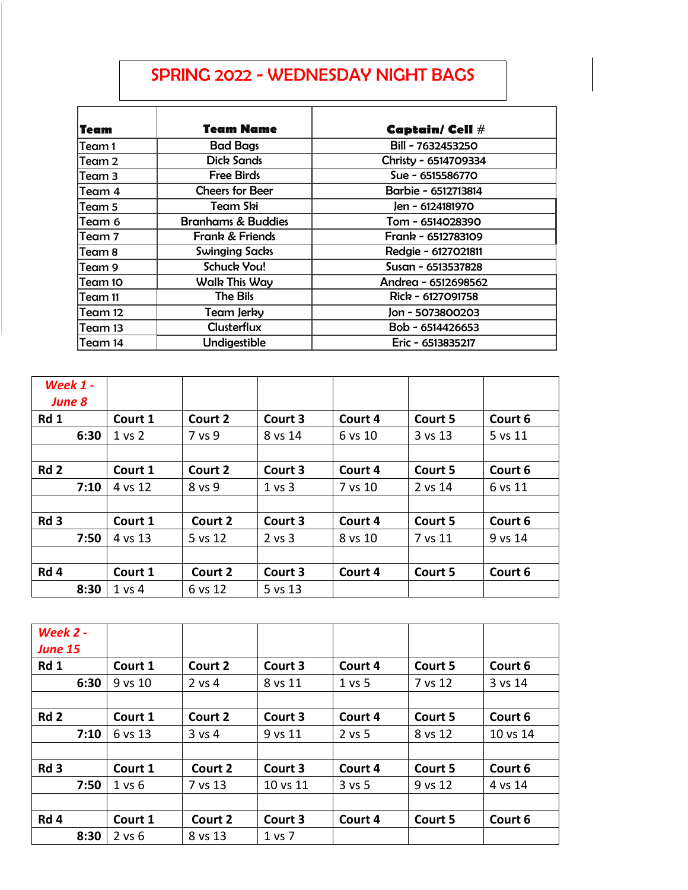## SPRING 2022 - WEDNESDAY NIGHT BAGS

| Team    | <b>Team Name</b>              | <b>Captain/ Cell #</b> |
|---------|-------------------------------|------------------------|
| Team 1  | <b>Bad Bags</b>               | Bill - 7632453250      |
| Team 2  | <b>Dick Sands</b>             | Christy - 6514709334   |
| Team 3  | <b>Free Birds</b>             | Sue - 6515586770       |
| Team 4  | <b>Cheers for Beer</b>        | Barbie - 6512713814    |
| Team 5  | Team Ski                      | Jen - 6124181970       |
| lTeam 6 | <b>Branhams &amp; Buddies</b> | Tom - 6514028390       |
| Team 7  | Frank & Friends               | Frank - 6512783109     |
| Team 8  | <b>Swinging Sacks</b>         | Redgie - 6127021811    |
| lTeam 9 | <b>Schuck You!</b>            | Susan - 6513537828     |
| Team 10 | <b>Walk This Way</b>          | Andrea - 6512698562    |
| Team 11 | <b>The Bils</b>               | Rick - 6127091758      |
| Team 12 | <b>Team Jerky</b>             | Jon - 5073800203       |
| Team 13 | <b>Clusterflux</b>            | Bob - 6514426653       |
| Team 14 | Undigestible                  | Eric - 6513835217      |

| Week $1 -$<br><b>June 8</b> |                   |         |                   |         |         |         |
|-----------------------------|-------------------|---------|-------------------|---------|---------|---------|
| Rd 1                        | Court 1           | Court 2 | Court 3           | Court 4 | Court 5 | Court 6 |
| 6:30                        | 1 <sub>vs</sub> 2 | 7 vs 9  | 8 vs 14           | 6 vs 10 | 3 vs 13 | 5 vs 11 |
|                             |                   |         |                   |         |         |         |
| Rd <sub>2</sub>             | Court 1           | Court 2 | Court 3           | Court 4 | Court 5 | Court 6 |
| 7:10                        | 4 vs 12           | 8 vs 9  | $1 \text{ vs } 3$ | 7 vs 10 | 2 vs 14 | 6 vs 11 |
|                             |                   |         |                   |         |         |         |
| Rd <sub>3</sub>             | Court 1           | Court 2 | Court 3           | Court 4 | Court 5 | Court 6 |
| 7:50                        | 4 vs 13           | 5 vs 12 | $2$ vs $3$        | 8 vs 10 | 7 vs 11 | 9 vs 14 |
|                             |                   |         |                   |         |         |         |
| Rd 4                        | Court 1           | Court 2 | Court 3           | Court 4 | Court 5 | Court 6 |
| 8:30                        | 1 vs 4            | 6 vs 12 | 5 vs 13           |         |         |         |

| Week 2 -<br><b>June 15</b> |            |            |            |            |         |          |
|----------------------------|------------|------------|------------|------------|---------|----------|
| Rd 1                       | Court 1    | Court 2    | Court 3    | Court 4    | Court 5 | Court 6  |
| 6:30                       | 9 vs 10    | 2 vs 4     | 8 vs 11    | $1$ vs 5   | 7 vs 12 | 3 vs 14  |
|                            |            |            |            |            |         |          |
| Rd <sub>2</sub>            | Court 1    | Court 2    | Court 3    | Court 4    | Court 5 | Court 6  |
| 7:10                       | 6 vs 13    | $3$ vs $4$ | 9 vs 11    | 2 vs 5     | 8 vs 12 | 10 vs 14 |
|                            |            |            |            |            |         |          |
| Rd <sub>3</sub>            | Court 1    | Court 2    | Court 3    | Court 4    | Court 5 | Court 6  |
| 7:50                       | 1 vs 6     | 7 vs 13    | 10 vs 11   | $3$ vs $5$ | 9 vs 12 | 4 vs 14  |
|                            |            |            |            |            |         |          |
| Rd 4                       | Court 1    | Court 2    | Court 3    | Court 4    | Court 5 | Court 6  |
| 8:30                       | $2$ vs $6$ | 8 vs 13    | $1$ vs $7$ |            |         |          |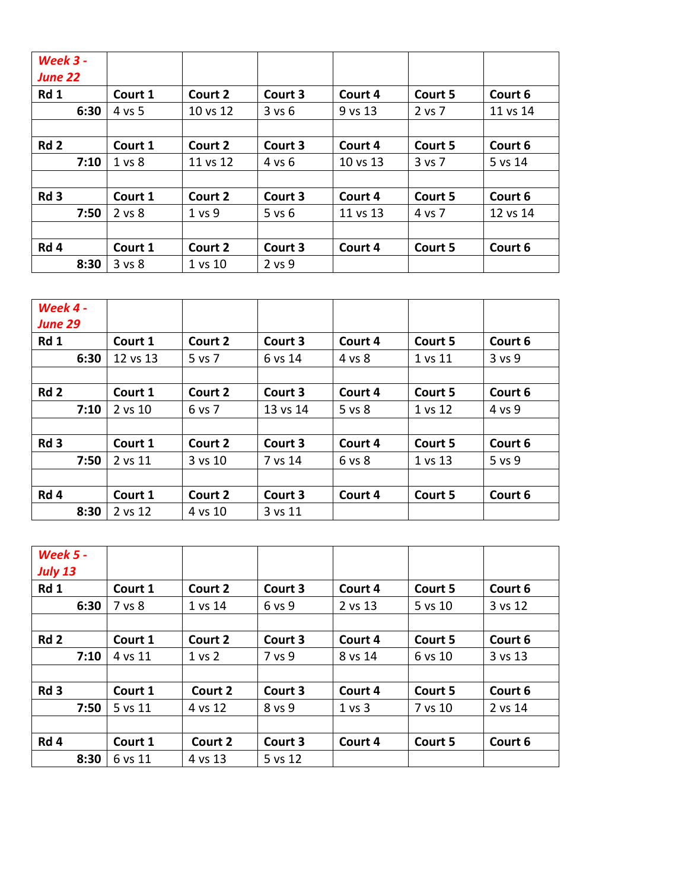| <b>Week 3 -</b><br><b>June 22</b> |                   |          |            |          |         |          |
|-----------------------------------|-------------------|----------|------------|----------|---------|----------|
| Rd 1                              | Court 1           | Court 2  | Court 3    | Court 4  | Court 5 | Court 6  |
| 6:30                              | 4 vs 5            | 10 vs 12 | 3 v s 6    | 9 vs 13  | 2 vs 7  | 11 vs 14 |
|                                   |                   |          |            |          |         |          |
| Rd <sub>2</sub>                   | Court 1           | Court 2  | Court 3    | Court 4  | Court 5 | Court 6  |
| 7:10                              | 1 <sub>vs</sub> 8 | 11 vs 12 | 4 vs 6     | 10 vs 13 | 3 vs 7  | 5 vs 14  |
|                                   |                   |          |            |          |         |          |
| Rd <sub>3</sub>                   | Court 1           | Court 2  | Court 3    | Court 4  | Court 5 | Court 6  |
| 7:50                              | 2 vs 8            | 1 vs 9   | $5$ vs $6$ | 11 vs 13 | 4 vs 7  | 12 vs 14 |
|                                   |                   |          |            |          |         |          |
| Rd 4                              | Court 1           | Court 2  | Court 3    | Court 4  | Court 5 | Court 6  |
| 8:30                              | 3 vs 8            | 1 vs 10  | 2 vs 9     |          |         |          |

| Week 4 -<br><b>June 29</b> |          |         |          |         |         |            |
|----------------------------|----------|---------|----------|---------|---------|------------|
| Rd 1                       | Court 1  | Court 2 | Court 3  | Court 4 | Court 5 | Court 6    |
| 6:30                       | 12 vs 13 | 5 vs 7  | 6 vs 14  | 4 vs 8  | 1 vs 11 | $3$ vs $9$ |
|                            |          |         |          |         |         |            |
| Rd <sub>2</sub>            | Court 1  | Court 2 | Court 3  | Court 4 | Court 5 | Court 6    |
| 7:10                       | 2 vs 10  | 6 vs 7  | 13 vs 14 | 5 vs 8  | 1 vs 12 | 4 vs 9     |
|                            |          |         |          |         |         |            |
| Rd <sub>3</sub>            | Court 1  | Court 2 | Court 3  | Court 4 | Court 5 | Court 6    |
| 7:50                       | 2 vs 11  | 3 vs 10 | 7 vs 14  | 6 vs 8  | 1 vs 13 | 5 vs 9     |
|                            |          |         |          |         |         |            |
| Rd 4                       | Court 1  | Court 2 | Court 3  | Court 4 | Court 5 | Court 6    |
| 8:30                       | 2 vs 12  | 4 vs 10 | 3 vs 11  |         |         |            |

| <b>Week 5 -</b><br><b>July 13</b> |         |         |         |         |         |         |
|-----------------------------------|---------|---------|---------|---------|---------|---------|
| Rd 1                              | Court 1 | Court 2 | Court 3 | Court 4 | Court 5 | Court 6 |
| 6:30                              | 7 vs 8  | 1 vs 14 | 6 vs 9  | 2 vs 13 | 5 vs 10 | 3 vs 12 |
|                                   |         |         |         |         |         |         |
| Rd <sub>2</sub>                   | Court 1 | Court 2 | Court 3 | Court 4 | Court 5 | Court 6 |
| 7:10                              | 4 vs 11 | 1 vs 2  | 7 vs 9  | 8 vs 14 | 6 vs 10 | 3 vs 13 |
|                                   |         |         |         |         |         |         |
| Rd <sub>3</sub>                   | Court 1 | Court 2 | Court 3 | Court 4 | Court 5 | Court 6 |
| 7:50                              | 5 vs 11 | 4 vs 12 | 8 vs 9  | 1 vs 3  | 7 vs 10 | 2 vs 14 |
|                                   |         |         |         |         |         |         |
| Rd 4                              | Court 1 | Court 2 | Court 3 | Court 4 | Court 5 | Court 6 |
| 8:30                              | 6 vs 11 | 4 vs 13 | 5 vs 12 |         |         |         |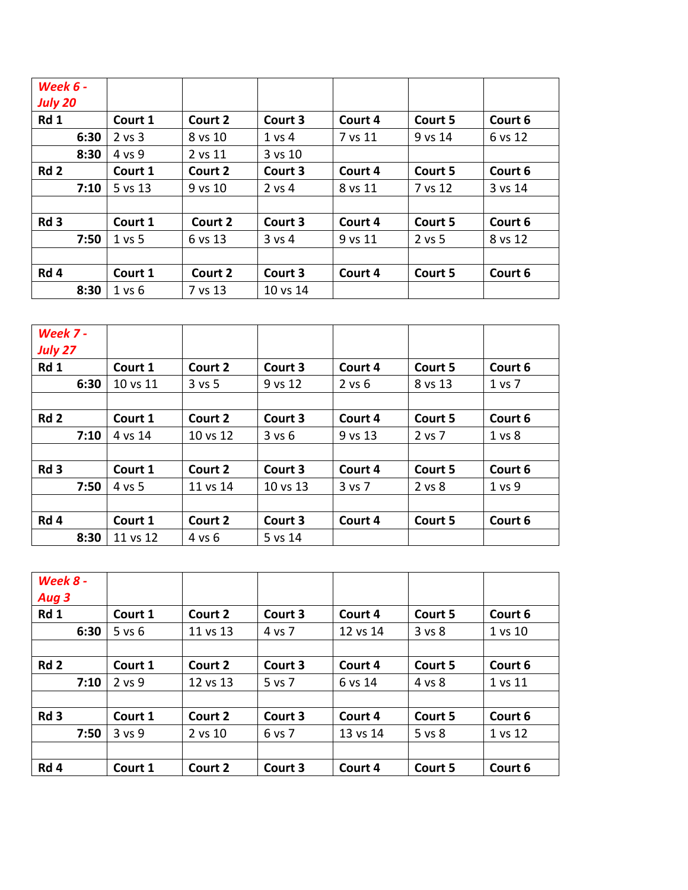| <b>Week 6 -</b><br><b>July 20</b> |            |         |                   |         |         |         |
|-----------------------------------|------------|---------|-------------------|---------|---------|---------|
| Rd 1                              | Court 1    | Court 2 | Court 3           | Court 4 | Court 5 | Court 6 |
| 6:30                              | $2$ vs $3$ | 8 vs 10 | $1$ vs $4$        | 7 vs 11 | 9 vs 14 | 6 vs 12 |
| 8:30                              | 4 vs 9     | 2 vs 11 | 3 vs 10           |         |         |         |
| Rd <sub>2</sub>                   | Court 1    | Court 2 | Court 3           | Court 4 | Court 5 | Court 6 |
| 7:10                              | 5 vs 13    | 9 vs 10 | $2$ vs 4          | 8 vs 11 | 7 vs 12 | 3 vs 14 |
| Rd <sub>3</sub>                   | Court 1    | Court 2 | Court 3           | Court 4 | Court 5 | Court 6 |
| 7:50                              | 1 vs 5     | 6 vs 13 | $3 \text{ vs } 4$ | 9 vs 11 | 2 vs 5  | 8 vs 12 |
|                                   |            |         |                   |         |         |         |
| Rd 4                              | Court 1    | Court 2 | Court 3           | Court 4 | Court 5 | Court 6 |
| 8:30                              | 1 vs 6     | 7 vs 13 | 10 vs 14          |         |         |         |

| Week 7 -<br><b>July 27</b> |          |            |          |            |         |                 |
|----------------------------|----------|------------|----------|------------|---------|-----------------|
| Rd 1                       | Court 1  | Court 2    | Court 3  | Court 4    | Court 5 | Court 6         |
| 6:30                       | 10 vs 11 | $3$ vs $5$ | 9 vs 12  | $2$ vs $6$ | 8 vs 13 | 1 <sub>vs</sub> |
|                            |          |            |          |            |         |                 |
| Rd <sub>2</sub>            | Court 1  | Court 2    | Court 3  | Court 4    | Court 5 | Court 6         |
| 7:10                       | 4 vs 14  | 10 vs 12   | 3 v s 6  | 9 vs 13    | 2 vs 7  | 1 vs 8          |
|                            |          |            |          |            |         |                 |
| Rd <sub>3</sub>            | Court 1  | Court 2    | Court 3  | Court 4    | Court 5 | Court 6         |
| 7:50                       | 4 vs 5   | 11 vs 14   | 10 vs 13 | 3 vs 7     | 2 vs 8  | 1 vs 9          |
|                            |          |            |          |            |         |                 |
| Rd 4                       | Court 1  | Court 2    | Court 3  | Court 4    | Court 5 | Court 6         |
| 8:30                       | 11 vs 12 | 4 vs 6     | 5 vs 14  |            |         |                 |

| Week 8 -<br>Aug 3 |            |          |         |          |         |         |
|-------------------|------------|----------|---------|----------|---------|---------|
| Rd 1              | Court 1    | Court 2  | Court 3 | Court 4  | Court 5 | Court 6 |
| 6:30              | $5$ vs $6$ | 11 vs 13 | 4 vs 7  | 12 vs 14 | 3 vs 8  | 1 vs 10 |
|                   |            |          |         |          |         |         |
| Rd <sub>2</sub>   | Court 1    | Court 2  | Court 3 | Court 4  | Court 5 | Court 6 |
| 7:10              | $2$ vs $9$ | 12 vs 13 | 5 vs 7  | 6 vs 14  | 4 vs 8  | 1 vs 11 |
|                   |            |          |         |          |         |         |
| Rd <sub>3</sub>   | Court 1    | Court 2  | Court 3 | Court 4  | Court 5 | Court 6 |
| 7:50              | 3 vs 9     | 2 vs 10  | 6 vs 7  | 13 vs 14 | 5 vs 8  | 1 vs 12 |
|                   |            |          |         |          |         |         |
| Rd 4              | Court 1    | Court 2  | Court 3 | Court 4  | Court 5 | Court 6 |